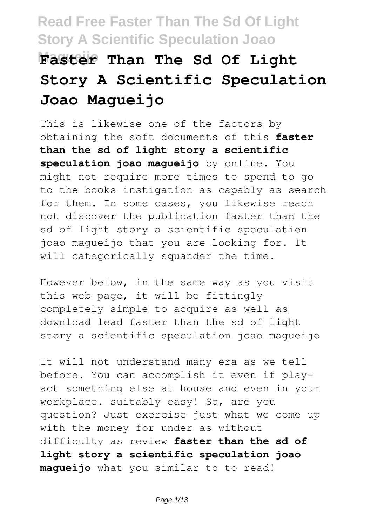# **Magueijo Faster Than The Sd Of Light Story A Scientific Speculation Joao Magueijo**

This is likewise one of the factors by obtaining the soft documents of this **faster than the sd of light story a scientific speculation joao magueijo** by online. You might not require more times to spend to go to the books instigation as capably as search for them. In some cases, you likewise reach not discover the publication faster than the sd of light story a scientific speculation joao magueijo that you are looking for. It will categorically squander the time.

However below, in the same way as you visit this web page, it will be fittingly completely simple to acquire as well as download lead faster than the sd of light story a scientific speculation joao magueijo

It will not understand many era as we tell before. You can accomplish it even if playact something else at house and even in your workplace. suitably easy! So, are you question? Just exercise just what we come up with the money for under as without difficulty as review **faster than the sd of light story a scientific speculation joao magueijo** what you similar to to read!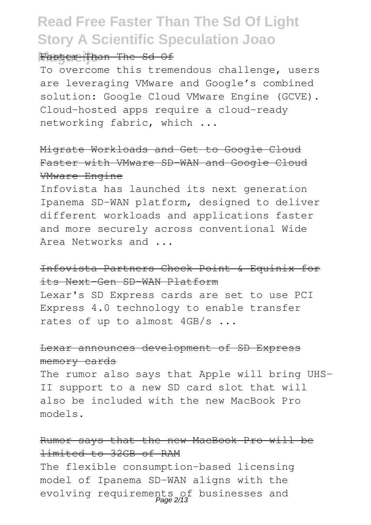#### Faster Than The Sd Of

To overcome this tremendous challenge, users are leveraging VMware and Google's combined solution: Google Cloud VMware Engine (GCVE). Cloud-hosted apps require a cloud-ready networking fabric, which ...

Migrate Workloads and Get to Google Cloud Faster with VMware SD-WAN and Google Cloud VMware Engine

Infovista has launched its next generation Ipanema SD-WAN platform, designed to deliver different workloads and applications faster and more securely across conventional Wide Area Networks and ...

#### Infovista Partners Check Point & Equinix for its Next-Gen SD-WAN Platform

Lexar's SD Express cards are set to use PCI Express 4.0 technology to enable transfer rates of up to almost 4GB/s ...

#### Lexar announces development of SD Express memory cards

The rumor also says that Apple will bring UHS-II support to a new SD card slot that will also be included with the new MacBook Pro models.

#### Rumor says that the new MacBook Pro will be limited to 32GB of RAM

The flexible consumption-based licensing model of Ipanema SD-WAN aligns with the evolving requirements of businesses and<br>Page 2/13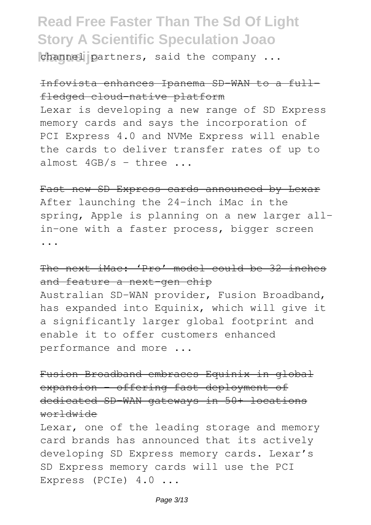channel partners, said the company ...

### Infovista enhances Ipanema SD-WAN to a fullfledged cloud-native platform

Lexar is developing a new range of SD Express memory cards and says the incorporation of PCI Express 4.0 and NVMe Express will enable the cards to deliver transfer rates of up to almost  $4GB/s - three...$ 

Fast new SD Express cards announced by Lexar After launching the 24-inch iMac in the spring, Apple is planning on a new larger allin-one with a faster process, bigger screen ...

### The next iMac: 'Pro' model could be 32 inches and feature a next-gen chip

Australian SD-WAN provider, Fusion Broadband, has expanded into Equinix, which will give it a significantly larger global footprint and enable it to offer customers enhanced performance and more ...

Fusion Broadband embraces Equinix in global expansion - offering fast deployment of dedicated SD-WAN gateways in 50+ locations worldwide

Lexar, one of the leading storage and memory card brands has announced that its actively developing SD Express memory cards. Lexar's SD Express memory cards will use the PCI Express (PCIe) 4.0 ...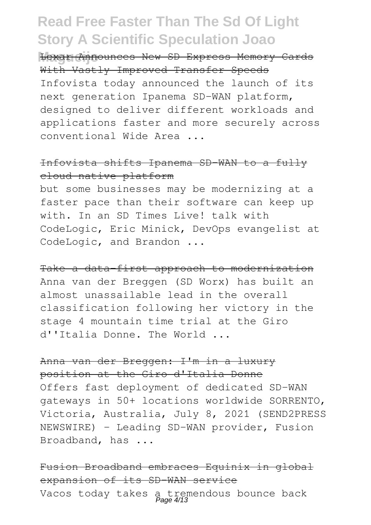**Magueijo** Lexar Announces New SD Express Memory Cards With Vastly Improved Transfer Speeds Infovista today announced the launch of its next generation Ipanema SD-WAN platform, designed to deliver different workloads and applications faster and more securely across conventional Wide Area ...

#### Infovista shifts Ipanema SD-WAN to a fully cloud-native platform

but some businesses may be modernizing at a faster pace than their software can keep up with. In an SD Times Live! talk with CodeLogic, Eric Minick, DevOps evangelist at CodeLogic, and Brandon ...

Take a data-first approach to modernization Anna van der Breggen (SD Worx) has built an almost unassailable lead in the overall classification following her victory in the stage 4 mountain time trial at the Giro d''Italia Donne. The World ...

#### Anna van der Breggen: I'm in a luxury position at the Giro d'Italia Donne

Offers fast deployment of dedicated SD-WAN gateways in 50+ locations worldwide SORRENTO, Victoria, Australia, July 8, 2021 (SEND2PRESS NEWSWIRE) - Leading SD-WAN provider, Fusion Broadband, has ...

Fusion Broadband embraces Equinix in global expansion of its SD-WAN service Vacos today takes a tremendous bounce back<br>Page 4/13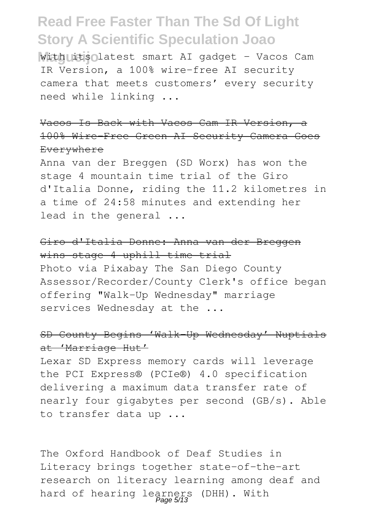**With its latest smart AI gadget - Vacos Cam** IR Version, a 100% wire-free AI security camera that meets customers' every security need while linking ...

Vacos Is Back with Vacos Cam IR Version, a 100% Wire-Free Green AI Security Camera Goes Everywhere

Anna van der Breggen (SD Worx) has won the stage 4 mountain time trial of the Giro d'Italia Donne, riding the 11.2 kilometres in a time of 24:58 minutes and extending her lead in the general ...

Giro d'Italia Donne: Anna van der Breggen wins stage 4 uphill time trial Photo via Pixabay The San Diego County Assessor/Recorder/County Clerk's office began offering "Walk-Up Wednesday" marriage services Wednesday at the ...

#### SD County Begins 'Walk-Up Wednesday' Nuptials at 'Marriage Hut'

Lexar SD Express memory cards will leverage the PCI Express® (PCIe®) 4.0 specification delivering a maximum data transfer rate of nearly four gigabytes per second (GB/s). Able to transfer data up ...

The Oxford Handbook of Deaf Studies in Literacy brings together state-of-the-art research on literacy learning among deaf and hard of hearing learners (DHH). With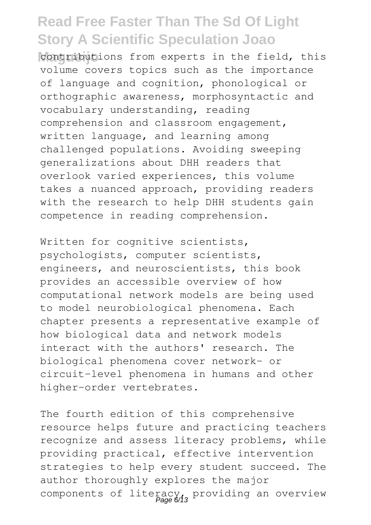contributions from experts in the field, this volume covers topics such as the importance of language and cognition, phonological or orthographic awareness, morphosyntactic and vocabulary understanding, reading comprehension and classroom engagement, written language, and learning among challenged populations. Avoiding sweeping generalizations about DHH readers that overlook varied experiences, this volume takes a nuanced approach, providing readers with the research to help DHH students gain competence in reading comprehension.

Written for cognitive scientists, psychologists, computer scientists, engineers, and neuroscientists, this book provides an accessible overview of how computational network models are being used to model neurobiological phenomena. Each chapter presents a representative example of how biological data and network models interact with the authors' research. The biological phenomena cover network- or circuit-level phenomena in humans and other higher-order vertebrates.

The fourth edition of this comprehensive resource helps future and practicing teachers recognize and assess literacy problems, while providing practical, effective intervention strategies to help every student succeed. The author thoroughly explores the major components of literacy, providing an overview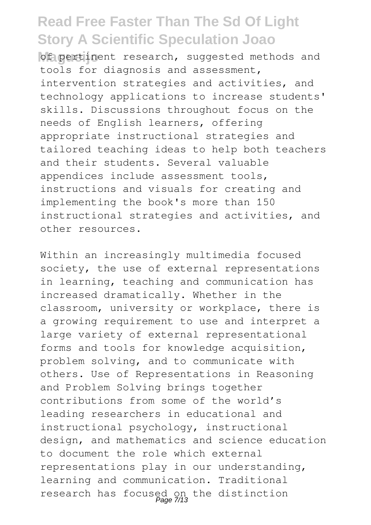of pertinent research, suggested methods and tools for diagnosis and assessment, intervention strategies and activities, and technology applications to increase students' skills. Discussions throughout focus on the needs of English learners, offering appropriate instructional strategies and tailored teaching ideas to help both teachers and their students. Several valuable appendices include assessment tools, instructions and visuals for creating and implementing the book's more than 150 instructional strategies and activities, and other resources.

Within an increasingly multimedia focused society, the use of external representations in learning, teaching and communication has increased dramatically. Whether in the classroom, university or workplace, there is a growing requirement to use and interpret a large variety of external representational forms and tools for knowledge acquisition, problem solving, and to communicate with others. Use of Representations in Reasoning and Problem Solving brings together contributions from some of the world's leading researchers in educational and instructional psychology, instructional design, and mathematics and science education to document the role which external representations play in our understanding, learning and communication. Traditional research has focused on the distinction Page 7/13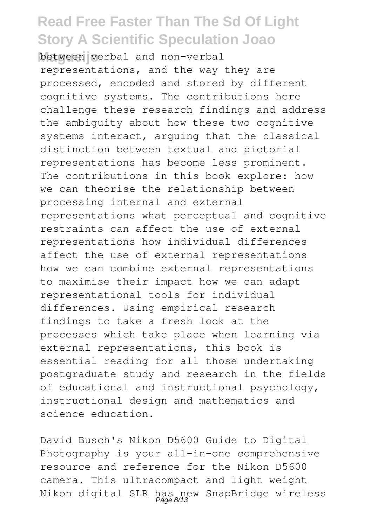**Magueijo** between verbal and non-verbal representations, and the way they are processed, encoded and stored by different cognitive systems. The contributions here challenge these research findings and address the ambiguity about how these two cognitive systems interact, arguing that the classical distinction between textual and pictorial representations has become less prominent. The contributions in this book explore: how we can theorise the relationship between processing internal and external representations what perceptual and cognitive restraints can affect the use of external representations how individual differences affect the use of external representations how we can combine external representations to maximise their impact how we can adapt representational tools for individual differences. Using empirical research findings to take a fresh look at the processes which take place when learning via external representations, this book is essential reading for all those undertaking postgraduate study and research in the fields of educational and instructional psychology, instructional design and mathematics and science education.

David Busch's Nikon D5600 Guide to Digital Photography is your all-in-one comprehensive resource and reference for the Nikon D5600 camera. This ultracompact and light weight Nikon digital SLR has new SnapBridge wireless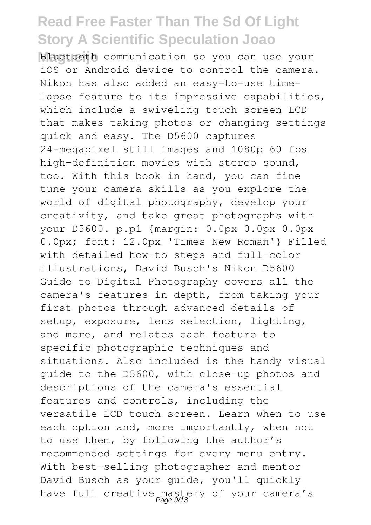**Magueijo** Bluetooth communication so you can use your iOS or Android device to control the camera. Nikon has also added an easy-to-use timelapse feature to its impressive capabilities, which include a swiveling touch screen LCD that makes taking photos or changing settings quick and easy. The D5600 captures 24-megapixel still images and 1080p 60 fps high-definition movies with stereo sound, too. With this book in hand, you can fine tune your camera skills as you explore the world of digital photography, develop your creativity, and take great photographs with your D5600. p.p1 {margin: 0.0px 0.0px 0.0px 0.0px; font: 12.0px 'Times New Roman'} Filled with detailed how-to steps and full-color illustrations, David Busch's Nikon D5600 Guide to Digital Photography covers all the camera's features in depth, from taking your first photos through advanced details of setup, exposure, lens selection, lighting, and more, and relates each feature to specific photographic techniques and situations. Also included is the handy visual guide to the D5600, with close-up photos and descriptions of the camera's essential features and controls, including the versatile LCD touch screen. Learn when to use each option and, more importantly, when not to use them, by following the author's recommended settings for every menu entry. With best-selling photographer and mentor David Busch as your guide, you'll quickly have full creative mastery of your camera's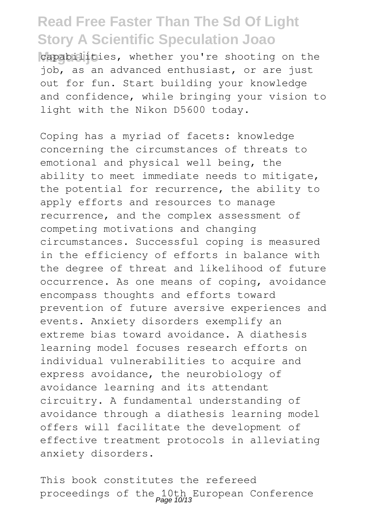capabilities, whether you're shooting on the job, as an advanced enthusiast, or are just out for fun. Start building your knowledge and confidence, while bringing your vision to light with the Nikon D5600 today.

Coping has a myriad of facets: knowledge concerning the circumstances of threats to emotional and physical well being, the ability to meet immediate needs to mitigate, the potential for recurrence, the ability to apply efforts and resources to manage recurrence, and the complex assessment of competing motivations and changing circumstances. Successful coping is measured in the efficiency of efforts in balance with the degree of threat and likelihood of future occurrence. As one means of coping, avoidance encompass thoughts and efforts toward prevention of future aversive experiences and events. Anxiety disorders exemplify an extreme bias toward avoidance. A diathesis learning model focuses research efforts on individual vulnerabilities to acquire and express avoidance, the neurobiology of avoidance learning and its attendant circuitry. A fundamental understanding of avoidance through a diathesis learning model offers will facilitate the development of effective treatment protocols in alleviating anxiety disorders.

This book constitutes the refereed proceedings of the 10th European Conference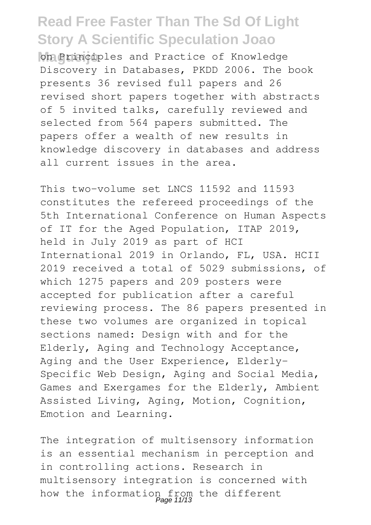on Principles and Practice of Knowledge Discovery in Databases, PKDD 2006. The book presents 36 revised full papers and 26 revised short papers together with abstracts of 5 invited talks, carefully reviewed and selected from 564 papers submitted. The papers offer a wealth of new results in knowledge discovery in databases and address all current issues in the area.

This two-volume set LNCS 11592 and 11593 constitutes the refereed proceedings of the 5th International Conference on Human Aspects of IT for the Aged Population, ITAP 2019, held in July 2019 as part of HCI International 2019 in Orlando, FL, USA. HCII 2019 received a total of 5029 submissions, of which 1275 papers and 209 posters were accepted for publication after a careful reviewing process. The 86 papers presented in these two volumes are organized in topical sections named: Design with and for the Elderly, Aging and Technology Acceptance, Aging and the User Experience, Elderly-Specific Web Design, Aging and Social Media, Games and Exergames for the Elderly, Ambient Assisted Living, Aging, Motion, Cognition, Emotion and Learning.

The integration of multisensory information is an essential mechanism in perception and in controlling actions. Research in multisensory integration is concerned with how the information from the different<br>Page 11/13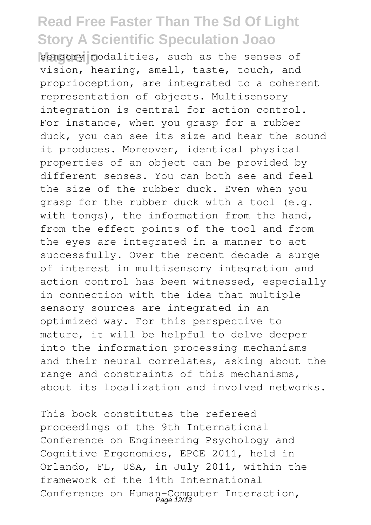sensory modalities, such as the senses of vision, hearing, smell, taste, touch, and proprioception, are integrated to a coherent representation of objects. Multisensory integration is central for action control. For instance, when you grasp for a rubber duck, you can see its size and hear the sound it produces. Moreover, identical physical properties of an object can be provided by different senses. You can both see and feel the size of the rubber duck. Even when you grasp for the rubber duck with a tool (e.g. with tongs), the information from the hand, from the effect points of the tool and from the eyes are integrated in a manner to act successfully. Over the recent decade a surge of interest in multisensory integration and action control has been witnessed, especially in connection with the idea that multiple sensory sources are integrated in an optimized way. For this perspective to mature, it will be helpful to delve deeper into the information processing mechanisms and their neural correlates, asking about the range and constraints of this mechanisms, about its localization and involved networks.

This book constitutes the refereed proceedings of the 9th International Conference on Engineering Psychology and Cognitive Ergonomics, EPCE 2011, held in Orlando, FL, USA, in July 2011, within the framework of the 14th International Conference on Human-Computer Interaction,